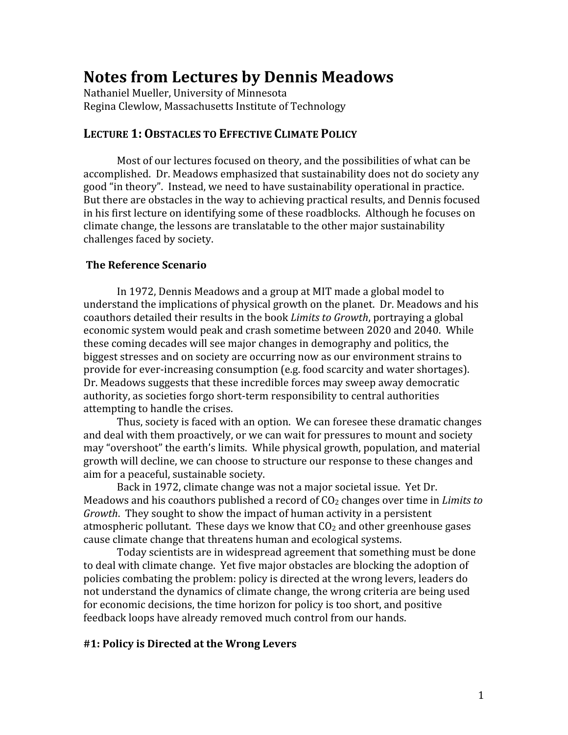# **Notes
from
Lectures
by
Dennis
Meadows**

Nathaniel
Mueller,
University
of
Minnesota Regina
Clewlow,
Massachusetts
Institute
of
Technology

# LECTURE 1: OBSTACLES TO EFFECTIVE CLIMATE POLICY

Most of our lectures focused on theory, and the possibilities of what can be accomplished.

Dr.
Meadows
emphasized
that
sustainability
does
not
do
society
any good
"in
theory".

Instead,
we
need
to
have
sustainability
operational
in
practice. But there are obstacles in the way to achieving practical results, and Dennis focused in
his
first
lecture
on
identifying
some
of
these
roadblocks.

Although
he
focuses
on climate
change,
the
lessons
are
translatable
to
the
other
major
sustainability challenges
faced
by
society.

# **The
Reference
Scenario**

In
1972,
Dennis
Meadows
and
a
group
at
MIT
made
a
global
model
to understand
the
implications
of
physical
growth
on
the
planet.

Dr.
Meadows
and
his coauthors detailed their results in the book *Limits to Growth*, portraying a global economic
system
would
peak
and
crash
sometime
between
2020
and
2040.

While these
coming
decades
will
see
major
changes
in
demography
and
politics,
the biggest
stresses
and
on
society
are
occurring
now
as
our
environment
strains
to provide
for
ever‐increasing
consumption
(e.g.
food
scarcity
and
water
shortages). Dr.
Meadows
suggests
that
these
incredible
forces
may
sweep
away
democratic authority, as societies forgo short-term responsibility to central authorities attempting
to
handle
the
crises.

Thus,
society
is
faced
with
an
option.

We
can
foresee
these
dramatic
changes and
deal
with
them
proactively,
or
we
can
wait
for
pressures
to
mount
and
society may
"overshoot"
the
earth's
limits.

While
physical
growth,
population,
and
material growth
will
decline,
we
can
choose
to
structure
our
response
to
these
changes
and aim
for
a
peaceful,
sustainable
society.

Back
in
1972,
climate
change
was
not
a
major
societal
issue.

Yet
Dr. Meadows and his coauthors published a record of  $CO<sub>2</sub>$  changes over time in *Limits to* Growth. They sought to show the impact of human activity in a persistent atmospheric pollutant. These days we know that  $CO<sub>2</sub>$  and other greenhouse gases cause
climate
change
that
threatens
human
and
ecological
systems.

Today
scientists
are
in
widespread
agreement
that
something
must
be
done to
deal
with
climate
change.

Yet
five
major
obstacles
are
blocking
the
adoption
of policies combating the problem: policy is directed at the wrong levers, leaders do not understand the dynamics of climate change, the wrong criteria are being used for
economic
decisions,
the
time
horizon
for
policy
is
too
short,
and
positive feedback loops have already removed much control from our hands.

# **#1:
Policy
is
Directed
at
the
Wrong
Levers**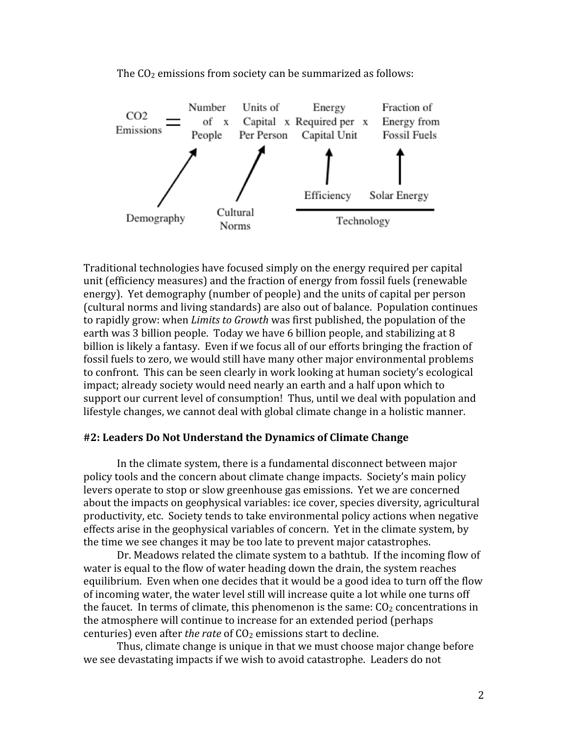The  $CO<sub>2</sub>$  emissions from society can be summarized as follows:



Traditional
technologies
have
focused
simply
on
the
energy
required
per
capital unit
(efficiency
measures)
and
the
fraction
of
energy
from
fossil
fuels
(renewable energy).

Yet
demography
(number
of
people)
and
the
units
of
capital
per
person (cultural
norms
and
living
standards)
are
also
out
of
balance.

Population
continues to rapidly grow: when *Limits to Growth* was first published, the population of the earth was 3 billion people. Today we have 6 billion people, and stabilizing at 8 billion is likely a fantasy. Even if we focus all of our efforts bringing the fraction of fossil fuels to zero, we would still have many other major environmental problems to confront. This can be seen clearly in work looking at human society's ecological impact;
already
society
would
need
nearly
an
earth
and
a
half
upon
which
to support our current level of consumption! Thus, until we deal with population and lifestyle changes, we cannot deal with global climate change in a holistic manner.

#### **#2:
Leaders
Do
Not
Understand
the
Dynamics
of
Climate
Change**

In the climate system, there is a fundamental disconnect between major policy tools and the concern about climate change impacts. Society's main policy levers operate to stop or slow greenhouse gas emissions. Yet we are concerned about
the
impacts
on
geophysical
variables:
ice
cover,
species
diversity,
agricultural productivity, etc. Society tends to take environmental policy actions when negative effects
arise
in
the
geophysical
variables
of
concern.

Yet
in
the
climate
system,
by the
time
we
see
changes
it
may
be
too
late
to
prevent
major
catastrophes.

Dr. Meadows related the climate system to a bathtub. If the incoming flow of water is equal to the flow of water heading down the drain, the system reaches equilibrium. Even when one decides that it would be a good idea to turn off the flow of
incoming
water,
the
water
level
still
will
increase
quite
a
lot
while
one
turns
off the faucet. In terms of climate, this phenomenon is the same:  $CO<sub>2</sub>$  concentrations in the
atmosphere
will
continue
to
increase
for
an
extended
period
(perhaps centuries) even after *the rate* of CO<sub>2</sub> emissions start to decline.

Thus, climate change is unique in that we must choose major change before we see devastating impacts if we wish to avoid catastrophe. Leaders do not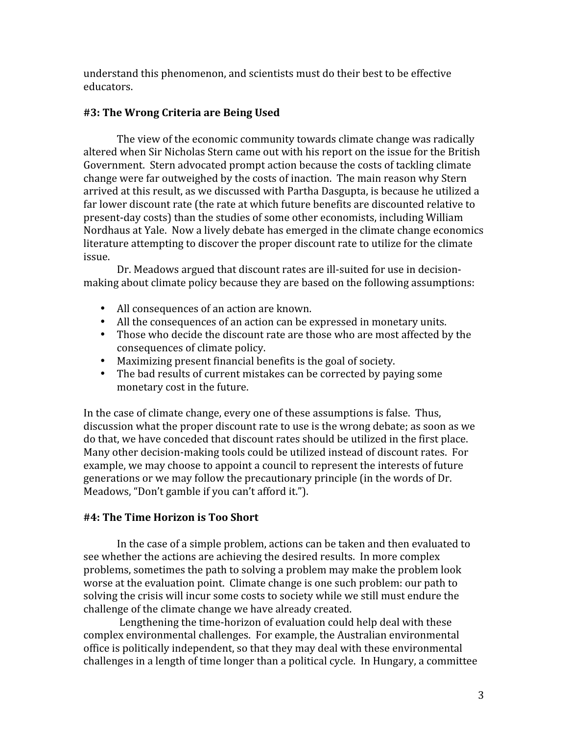understand
this
phenomenon,
and
scientists
must
do
their
best
to
be
effective educators.

# **#3:
The
Wrong
Criteria
are
Being
Used**

The view of the economic community towards climate change was radically altered
when
Sir
Nicholas
Stern
came
out
with
his
report
on
the
issue
for
the
British Government.

Stern
advocated
prompt
action
because
the
costs
of
tackling
climate change
were
far
outweighed
by
the
costs
of
inaction.

The
main
reason
why
Stern arrived
at
this
result,
as
we
discussed
with
Partha
Dasgupta,
is
because
he
utilized
a far lower discount rate (the rate at which future benefits are discounted relative to present‐day
costs)
than
the
studies
of
some
other
economists,
including
William Nordhaus at Yale. Now a lively debate has emerged in the climate change economics literature attempting to discover the proper discount rate to utilize for the climate issue.

Dr. Meadows argued that discount rates are ill-suited for use in decisionmaking
about
climate
policy
because
they
are
based
on
the
following
assumptions:

- All consequences of an action are known.
- All the consequences of an action can be expressed in monetary units.
- Those who decide the discount rate are those who are most affected by the consequences
of
climate
policy.
- Maximizing
present
financial
benefits
is
the
goal
of
society.
- The bad results of current mistakes can be corrected by paying some monetary
cost
in
the
future.

In the case of climate change, every one of these assumptions is false. Thus, discussion what the proper discount rate to use is the wrong debate; as soon as we do
that,
we
have
conceded
that
discount
rates
should
be
utilized
in
the
first
place. Many other decision-making tools could be utilized instead of discount rates. For example, we may choose to appoint a council to represent the interests of future generations
or
we
may
follow
the
precautionary
principle
(in
the
words
of
Dr. Meadows,
"Don't
gamble
if
you
can't
afford
it.").

# **#4:
The
Time
Horizon
is
Too
Short**

In
the
case
of
a
simple
problem,
actions
can
be
taken
and
then
evaluated
to see
whether
the
actions
are
achieving
the
desired
results.

In
more
complex problems, sometimes the path to solving a problem may make the problem look worse at the evaluation point. Climate change is one such problem: our path to solving the crisis will incur some costs to society while we still must endure the challenge
of
the
climate
change
we
have
already
created.

Lengthening the time-horizon of evaluation could help deal with these complex
environmental
challenges.

For
example,
the
Australian
environmental office
is
politically
independent,
so
that
they
may
deal
with
these
environmental challenges in a length of time longer than a political cycle. In Hungary, a committee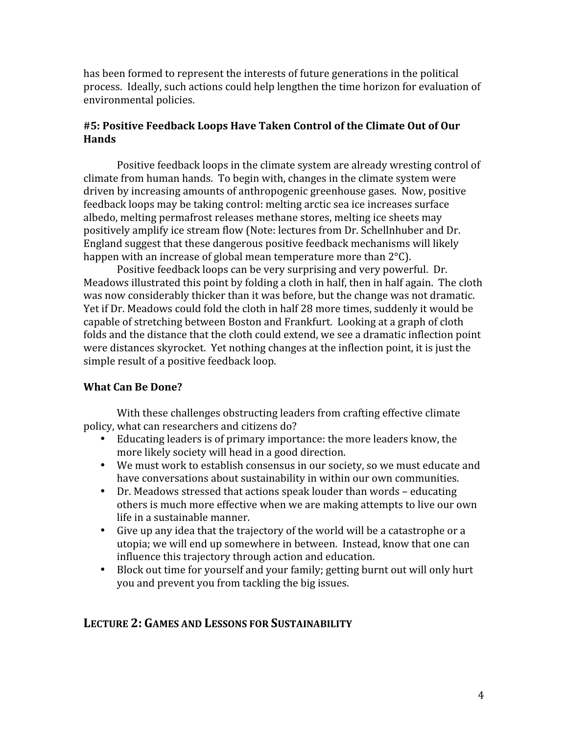has been formed to represent the interests of future generations in the political process. Ideally, such actions could help lengthen the time horizon for evaluation of environmental
policies.

# **#5:
Positive
Feedback
Loops
Have
Taken
Control
of
the
Climate
Out
of
Our Hands**

Positive feedback loops in the climate system are already wresting control of climate
from
human
hands.

To
begin
with,
changes
in
the
climate
system
were driven
by
increasing
amounts
of
anthropogenic
greenhouse
gases.

Now,
positive feedback
loops
may
be
taking
control:
melting
arctic
sea
ice
increases
surface albedo,
melting
permafrost
releases
methane
stores,
melting
ice
sheets
may positively
amplify
ice
stream
flow
(Note:
lectures
from
Dr.
Schellnhuber
and
Dr. England
suggest
that
these
dangerous
positive
feedback
mechanisms
will
likely happen with an increase of global mean temperature more than 2°C).

Positive
feedback
loops
can
be
very
surprising
and
very
powerful.

Dr. Meadows illustrated this point by folding a cloth in half, then in half again. The cloth was now considerably thicker than it was before, but the change was not dramatic. Yet if Dr. Meadows could fold the cloth in half 28 more times, suddenly it would be capable
of
stretching
between
Boston
and
Frankfurt.

Looking
at
a
graph
of
cloth folds and the distance that the cloth could extend, we see a dramatic inflection point were distances skyrocket. Yet nothing changes at the inflection point, it is just the simple
result
of
a
positive
feedback
loop.

# **What
Can
Be
Done?**

With these challenges obstructing leaders from crafting effective climate policy,
what
can
researchers
and
citizens
do?

- Educating leaders is of primary importance: the more leaders know, the more
likely
society
will
head
in
a
good
direction.
- We must work to establish consensus in our society, so we must educate and have conversations about sustainability in within our own communities.
- Dr. Meadows stressed that actions speak louder than words educating others
is
much
more
effective
when
we
are
making
attempts
to
live
our
own life
in
a
sustainable
manner.
- Give up any idea that the trajectory of the world will be a catastrophe or a utopia; we will end up somewhere in between. Instead, know that one can influence
this
trajectory
through
action
and
education.
- Block out time for yourself and your family; getting burnt out will only hurt you
and
prevent
you
from
tackling
the
big
issues.

# **LECTURE
2: GAMES
AND
LESSONS
FOR
SUSTAINABILITY**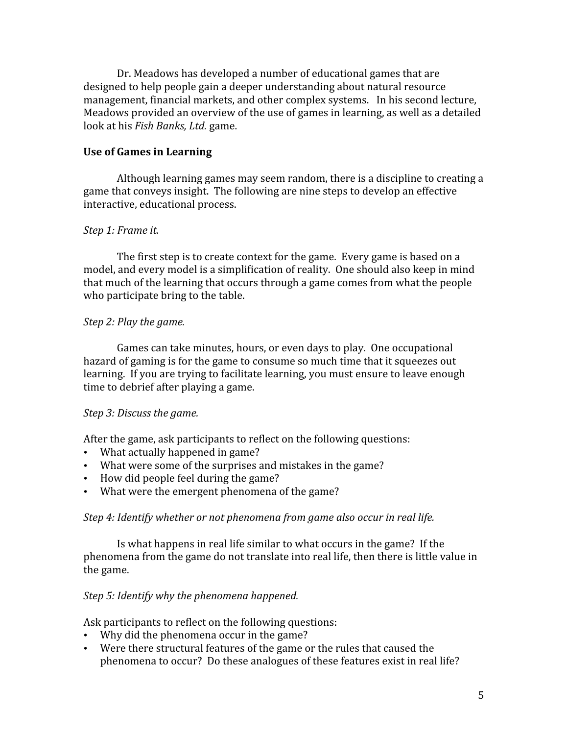Dr.
Meadows
has
developed
a
number
of
educational
games
that
are designed to help people gain a deeper understanding about natural resource management,
financial
markets,
and
other
complex
systems.

In
his
second
lecture, Meadows provided an overview of the use of games in learning, as well as a detailed look
at
his *Fish
Banks,
Ltd.* game.

# **Use
of
Games
in
Learning**

Although learning games may seem random, there is a discipline to creating a game
that
conveys
insight.

The
following
are
nine
steps
to
develop
an
effective interactive,
educational
process.

# *Step
1:
Frame
it.*

The first step is to create context for the game. Every game is based on a model, and every model is a simplification of reality. One should also keep in mind that much of the learning that occurs through a game comes from what the people who participate bring to the table.

# *Step
2:
Play
the
game.*

Games
can
take
minutes,
hours,
or
even
days
to
play.

One
occupational hazard of gaming is for the game to consume so much time that it squeezes out learning. If you are trying to facilitate learning, you must ensure to leave enough time
to
debrief
after
playing
a
game.

# *Step
3:
Discuss
the
game.*

After
the
game,
ask
participants
to
reflect
on
the
following
questions:

- What actually happened in game?
- What were some of the surprises and mistakes in the game?
- How did people feel during the game?
- What were the emergent phenomena of the game?

#### *Step
4:
Identify
whether
or
not
phenomena
from
game
also
occur
in
real
life.*

Is what happens in real life similar to what occurs in the game? If the phenomena from the game do not translate into real life, then there is little value in the
game.

# *Step
5:
Identify
why
the
phenomena
happened.*

Ask
participants
to
reflect
on
the
following
questions:

- Why did the phenomena occur in the game?
- Were there structural features of the game or the rules that caused the phenomena
to
occur?

Do
these
analogues
of
these
features
exist
in
real
life?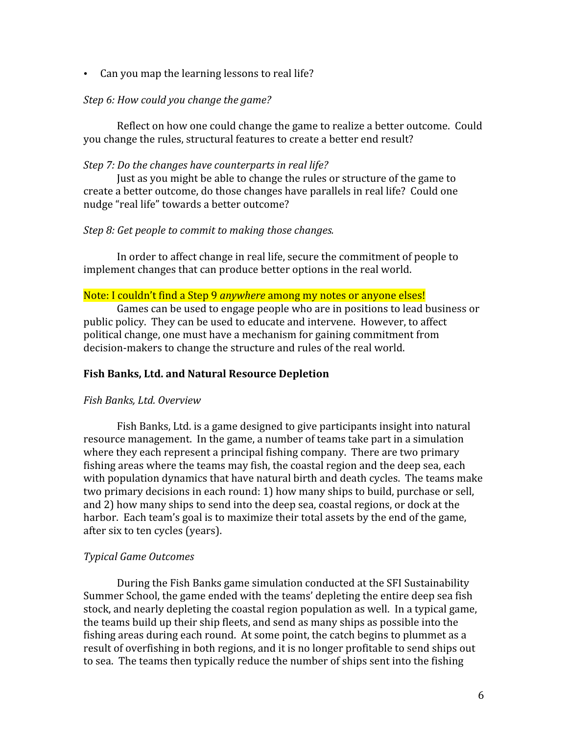• Can you map the learning lessons to real life?

# *Step
6:
How
could
you
change
the
game?*

Reflect
on
how
one
could
change
the
game
to
realize
a
better
outcome.

Could you
change
the
rules,
structural
features
to
create
a
better
end
result?

# *Step
7:
Do
the
changes
have
counterparts
in
real
life?*

Just
as
you
might
be
able
to
change
the
rules
or
structure
of
the
game
to create
a
better
outcome,
do
those
changes
have
parallels
in
real
life?

Could
one nudge
"real
life"
towards
a
better
outcome?

# *Step
8:
Get
people
to
commit
to
making
those
changes.*

In order to affect change in real life, secure the commitment of people to implement
changes
that
can
produce
better
options
in
the
real
world.

#### Note: I couldn't find a Step 9 *anywhere* among my notes or anyone elses!

Games can be used to engage people who are in positions to lead business or public
policy.

They
can
be
used
to
educate
and
intervene.

However,
to
affect political
change,
one
must
have
a
mechanism
for
gaining
commitment
from decision-makers to change the structure and rules of the real world.

# **Fish
Banks,
Ltd.
and
Natural
Resource
Depletion**

#### *Fish
Banks,
Ltd.
Overview*

Fish
Banks,
Ltd.
is
a
game
designed
to
give
participants
insight
into
natural resource management. In the game, a number of teams take part in a simulation where they each represent a principal fishing company. There are two primary fishing areas where the teams may fish, the coastal region and the deep sea, each with population dynamics that have natural birth and death cycles. The teams make two primary decisions in each round: 1) how many ships to build, purchase or sell, and
2)
how
many
ships
to
send
into
the
deep
sea,
coastal
regions,
or
dock
at
the harbor. Each team's goal is to maximize their total assets by the end of the game, after
six
to
ten
cycles
(years).

#### *Typical
Game
Outcomes*

During
the
Fish
Banks
game
simulation
conducted
at
the
SFI
Sustainability Summer
School,
the
game
ended
with
the
teams'
depleting
the
entire
deep
sea
fish stock, and nearly depleting the coastal region population as well. In a typical game, the teams build up their ship fleets, and send as many ships as possible into the fishing areas during each round. At some point, the catch begins to plummet as a result of overfishing in both regions, and it is no longer profitable to send ships out to sea. The teams then typically reduce the number of ships sent into the fishing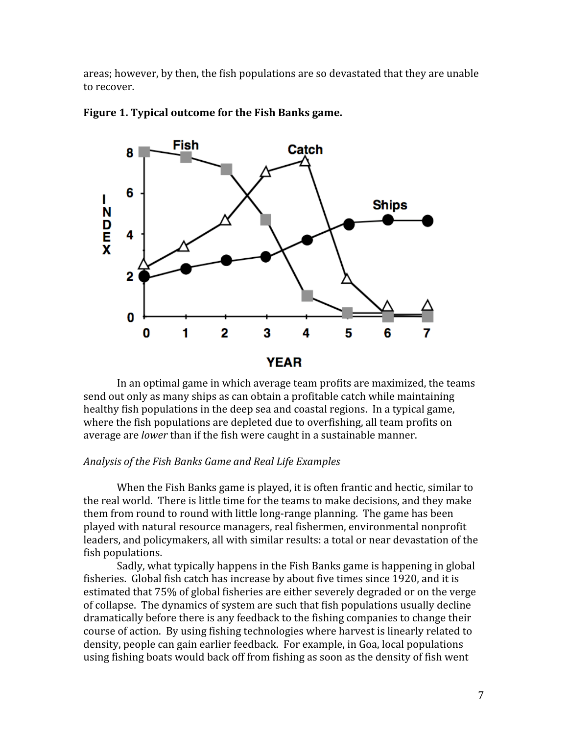areas;
however,
by
then,
the
fish
populations
are
so
devastated
that
they
are
unable to
recover.





In an optimal game in which average team profits are maximized, the teams send out only as many ships as can obtain a profitable catch while maintaining healthy fish populations in the deep sea and coastal regions. In a typical game, where the fish populations are depleted due to overfishing, all team profits on average
are *lower* than
if
the
fish
were
caught
in
a
sustainable
manner.

#### *Analysis
of
the
Fish
Banks
Game
and
Real
Life
Examples*

When the Fish Banks game is played, it is often frantic and hectic, similar to the
real
world.

There
is
little
time
for
the
teams
to
make
decisions,
and
they
make them from round to round with little long-range planning. The game has been played
with
natural
resource
managers,
real
fishermen,
environmental
nonprofit leaders,
and
policymakers,
all
with
similar
results:
a
total
or
near
devastation
of
the fish
populations.

Sadly, what typically happens in the Fish Banks game is happening in global fisheries. Global fish catch has increase by about five times since 1920, and it is estimated
that
75%
of
global
fisheries
are
either
severely
degraded
or
on
the
verge of
collapse.

The
dynamics
of
system
are
such
that
fish
populations
usually
decline dramatically before there is any feedback to the fishing companies to change their course
of
action.

By
using
fishing
technologies
where
harvest
is
linearly
related
to density,
people
can
gain
earlier
feedback.

For
example,
in
Goa,
local
populations using
fishing
boats
would
back
off
from
fishing
as
soon
as
the
density
of
fish
went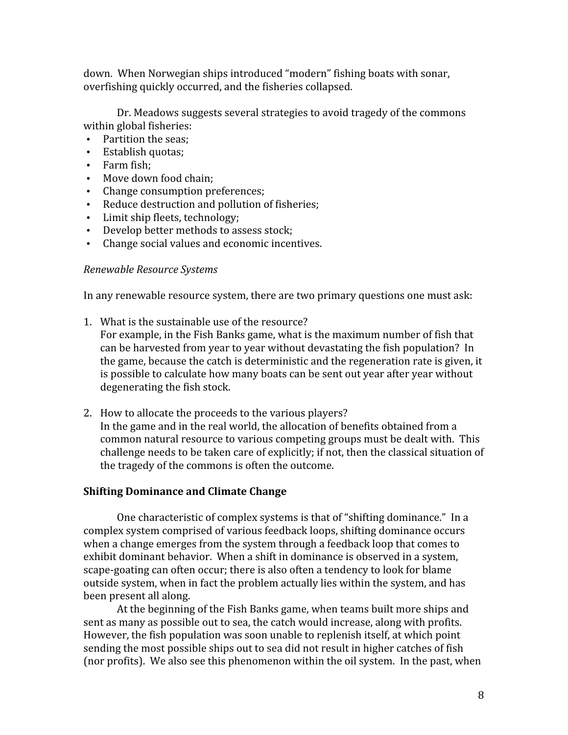down.

When
Norwegian
ships
introduced
"modern"
fishing
boats
with
sonar, overfishing
quickly
occurred,
and
the
fisheries
collapsed.

Dr.
Meadows
suggests
several
strategies
to
avoid
tragedy
of
the
commons within
global
fisheries:

- Partition
the
seas;
- Establish
quotas;
- Farm
fish;
- Move down food chain;
- Change
consumption
preferences;
- Reduce
destruction
and
pollution
of
fisheries;
- Limit ship fleets, technology;
- Develop
better
methods
to
assess
stock;
- Change
social
values
and
economic
incentives.

# *Renewable
Resource
Systems*

In any renewable resource system, there are two primary questions one must ask:

1. What
is
the
sustainable
use
of
the
resource?

For example, in the Fish Banks game, what is the maximum number of fish that can
be
harvested
from
year
to
year
without
devastating
the
fish
population?

In the game, because the catch is deterministic and the regeneration rate is given, it is
possible
to
calculate
how
many
boats
can
be
sent
out
year
after
year
without degenerating
the
fish
stock.

2. How
to
allocate
the
proceeds
to
the
various
players? In the game and in the real world, the allocation of benefits obtained from a common
natural
resource
to
various
competing
groups
must
be
dealt
with.

This challenge
needs
to
be
taken
care
of
explicitly;
if
not,
then
the
classical
situation
of the
tragedy
of
the
commons
is
often
the
outcome.

# **Shifting
Dominance
and
Climate
Change**

One
characteristic
of
complex
systems
is
that
of
"shifting
dominance."

In
a complex
system
comprised
of
various
feedback
loops,
shifting
dominance
occurs when a change emerges from the system through a feedback loop that comes to exhibit dominant behavior. When a shift in dominance is observed in a system, scape-goating can often occur; there is also often a tendency to look for blame outside
system,
when
in
fact
the
problem
actually
lies
within
the
system,
and
has been
present
all
along.

At
the
beginning
of
the
Fish
Banks
game,
when
teams
built
more
ships
and sent
as
many
as
possible
out
to
sea,
the
catch
would
increase,
along
with
profits. However,
the
fish
population
was
soon
unable
to
replenish
itself,
at
which
point sending
the
most
possible
ships
out
to
sea
did
not
result
in
higher
catches
of
fish (nor
profits).

We
also
see
this
phenomenon
within
the
oil
system.

In
the
past,
when